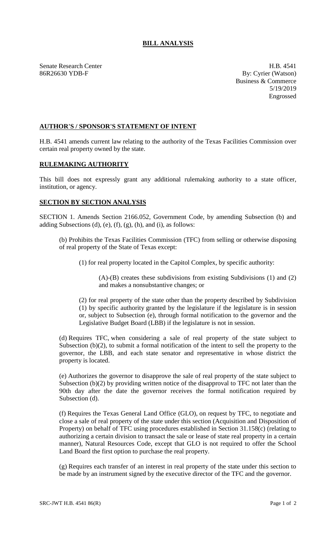## **BILL ANALYSIS**

Senate Research Center **H.B. 4541** 86R26630 YDB-F By: Cyrier (Watson)

Business & Commerce 5/19/2019 Engrossed

## **AUTHOR'S / SPONSOR'S STATEMENT OF INTENT**

H.B. 4541 amends current law relating to the authority of the Texas Facilities Commission over certain real property owned by the state.

## **RULEMAKING AUTHORITY**

This bill does not expressly grant any additional rulemaking authority to a state officer, institution, or agency.

## **SECTION BY SECTION ANALYSIS**

SECTION 1. Amends Section 2166.052, Government Code, by amending Subsection (b) and adding Subsections (d), (e), (f), (g), (h), and (i), as follows:

(b) Prohibits the Texas Facilities Commission (TFC) from selling or otherwise disposing of real property of the State of Texas except:

(1) for real property located in the Capitol Complex, by specific authority:

(A)-(B) creates these subdivisions from existing Subdivisions (1) and (2) and makes a nonsubstantive changes; or

(2) for real property of the state other than the property described by Subdivision (1) by specific authority granted by the legislature if the legislature is in session or, subject to Subsection (e), through formal notification to the governor and the Legislative Budget Board (LBB) if the legislature is not in session.

(d) Requires TFC, when considering a sale of real property of the state subject to Subsection (b)(2), to submit a formal notification of the intent to sell the property to the governor, the LBB, and each state senator and representative in whose district the property is located.

(e) Authorizes the governor to disapprove the sale of real property of the state subject to Subsection (b)(2) by providing written notice of the disapproval to TFC not later than the 90th day after the date the governor receives the formal notification required by Subsection (d).

(f) Requires the Texas General Land Office (GLO), on request by TFC, to negotiate and close a sale of real property of the state under this section (Acquisition and Disposition of Property) on behalf of TFC using procedures established in Section 31.158(c) (relating to authorizing a certain division to transact the sale or lease of state real property in a certain manner), Natural Resources Code, except that GLO is not required to offer the School Land Board the first option to purchase the real property.

(g) Requires each transfer of an interest in real property of the state under this section to be made by an instrument signed by the executive director of the TFC and the governor.